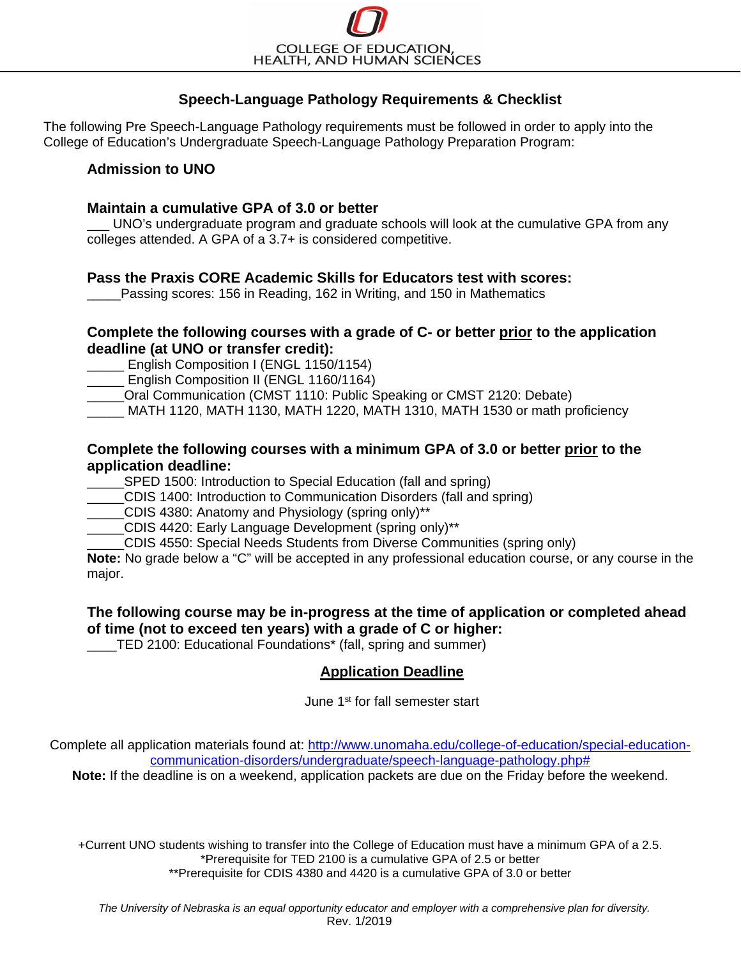# **Speech-Language Pathology Requirements & Checklist**

The following Pre Speech-Language Pathology requirements must be followed in order to apply into the College of Education's Undergraduate Speech-Language Pathology Preparation Program:

# **Admission to UNO**

### **Maintain a cumulative GPA of 3.0 or better**

UNO's undergraduate program and graduate schools will look at the cumulative GPA from any colleges attended. A GPA of a 3.7+ is considered competitive.

# **Pass the Praxis CORE Academic Skills for Educators test with scores:**

Passing scores: 156 in Reading, 162 in Writing, and 150 in Mathematics

# **Complete the following courses with a grade of C- or better prior to the application deadline (at UNO or transfer credit):**

\_\_\_\_\_ English Composition I (ENGL 1150/1154)

\_\_\_\_\_ English Composition II (ENGL 1160/1164)

\_\_\_\_\_Oral Communication (CMST 1110: Public Speaking or CMST 2120: Debate)

\_\_\_\_\_ MATH 1120, MATH 1130, MATH 1220, MATH 1310, MATH 1530 or math proficiency

### **Complete the following courses with a minimum GPA of 3.0 or better prior to the application deadline:**

SPED 1500: Introduction to Special Education (fall and spring)

\_\_\_\_\_CDIS 1400: Introduction to Communication Disorders (fall and spring)

\_\_\_\_\_CDIS 4380: Anatomy and Physiology (spring only)\*\*

CDIS 4420: Early Language Development (spring only)\*\*

\_\_\_\_\_CDIS 4550: Special Needs Students from Diverse Communities (spring only)

**Note:** No grade below a "C" will be accepted in any professional education course, or any course in the major.

# **The following course may be in-progress at the time of application or completed ahead of time (not to exceed ten years) with a grade of C or higher:**

TED 2100: Educational Foundations<sup>\*</sup> (fall, spring and summer)

# **Application Deadline**

June 1st for fall semester start

Complete all application materials found at: [http://www.unomaha.edu/college-of-education/special-education](http://www.unomaha.edu/college-of-education/special-education-communication-disorders/undergraduate/speech-language-pathology.php)[communication-disorders/undergraduate/speech-language-pathology.php#](http://www.unomaha.edu/college-of-education/special-education-communication-disorders/undergraduate/speech-language-pathology.php)

**Note:** If the deadline is on a weekend, application packets are due on the Friday before the weekend.

+Current UNO students wishing to transfer into the College of Education must have a minimum GPA of a 2.5. \*Prerequisite for TED 2100 is a cumulative GPA of 2.5 or better \*\*Prerequisite for CDIS 4380 and 4420 is a cumulative GPA of 3.0 or better